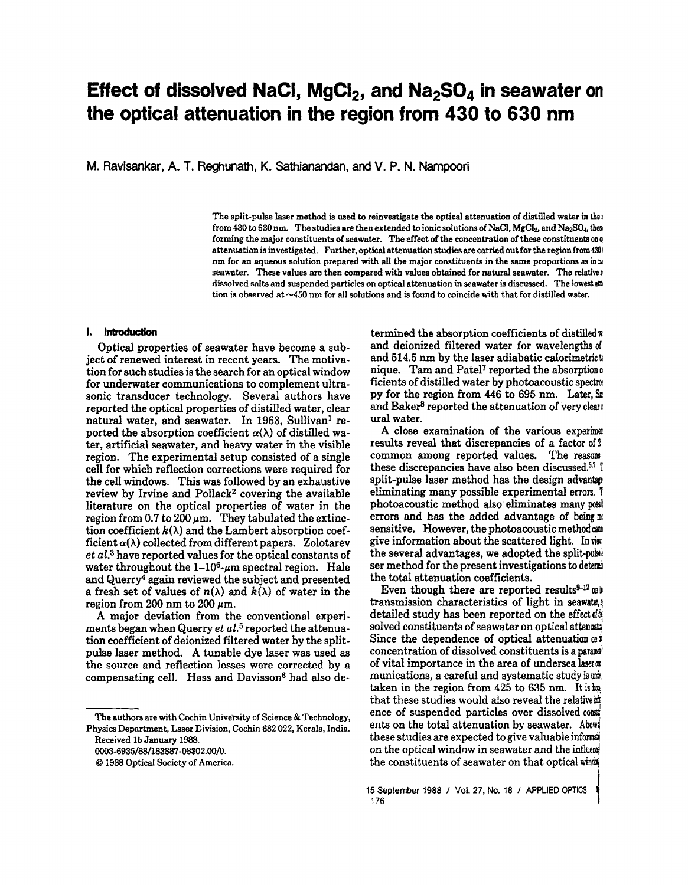# **Effect of dissolved NaCI, MgCI<sub>2</sub>, and Na<sub>2</sub>SO<sub>4</sub> in seawater on the optical attenuation in the region from 430 to 630 nm**

M. Ravisankar, A. T. Reghunath, K. Sathianandan, and V. P. N. Nampoori

The split-pulse laser method is used to reinvestigate the optical attenuation of distilled water in the I from 430 to 630 nm. The studies are then extended to ionic solutions of NaCl, MgCl<sub>2</sub>, and Na<sub>2</sub>SO<sub>4</sub>, the forming the major constituents of seawater. The effect of the concentration of these constituents on  $q$ attenuation is investigated. Further, optical attenuation studies are carried out for the region from 430 nm for an aqueous solution prepared with all the major constituents in the same proportions as in  $\mathfrak n$ seawater. These values are then compared with values obtained for natural seawater. The relativer dissolved salts and suspended particles on optical attenuation in seawater is discussed. The lowest atli tion is observed at -450 nm for all solutions and is found to coincide with that for distilled water.

# I. Introduction

Optical properties of seawater have become a subject of renewed interest in recent years. The motivation for such studies is the search for an optical window for underwater communications to complement ultrasonic transducer technology. Several authors have reported the optical properties of distilled water, clear natural water, and seawater. In 1963, Sullivan<sup>1</sup> reported the absorption coefficient  $\alpha(\lambda)$  of distilled water, artificial seawater, and heavy water in the visible region. The experimental setup consisted of a single cell for which reflection corrections were required for the cell windows. This was followed by an exhaustive review by Irvine and Pollack<sup>2</sup> covering the available literature on the optical properties of water in the region from 0.7 to 200  $\mu$ m. They tabulated the extinction coefficient  $k(\lambda)$  and the Lambert absorption coefficient  $\alpha(\lambda)$  collected from different papers. Zolotarev *et al.3* have reported values for the optical constants of water throughout the  $1-10^6$ - $\mu$ m spectral region. Hale and Querry<sup>4</sup> again reviewed the subject and presented a fresh set of values of  $n(\lambda)$  and  $k(\lambda)$  of water in the region from 200 nm to 200  $\mu$ m.

A major deviation from the conventional experiments began when Querry *et al.*5 reported the attenuation coefficient of deionized filtered water by the splitpulse laser method. A tunable dye laser was used as the source and reflection losses were corrected by a compensating cell. Hass and Davisson<sup>6</sup> had also de-

0003·6935/88/183887 -08\$02.00/0.

termined the absorption coefficients of distilled  $\bar{w}$ and deionized filtered water for wavelengths of and 514.5 nm by the laser adiabatic calorimetricu nique. Tam and Patel<sup>7</sup> reported the absorption o ficients of distilled water by photoacoustic spectre. py for the region from  $446$  to  $695$  nm. Later,  $\text{S1}$ and Baker<sup>8</sup> reported the attenuation of very clear. ural water.

A close examination of the various experime! results reveal that discrepancies of a factor of 2 common among reported values. The ressons these discrepancies have also been discussed. $57$  ! split-pulse laser method has the design advantage eliminating many possible experimental errors. 1 photoacoustic method also eliminates many possierrors and has the added advantage of being  $\mathbb{R}$ sensitive. However, the photoacoustic method can give information about the scattered light. In view the several advantages, we adopted the split-pulse ser method for the present investigations to determ the total attenuation coefficients.

Even though there are reported results $9-12$  only transmission characteristics of light in seawate, detailed study has been reported on the effect of  $x$ solved constituents of seawater on optical attenual Since the dependence of optical attenuation  $\omega$ : concentration of dissolved constituents is a parameter of vital importance in the area of undersea laser  $\pi$ munications, a careful and systematic study is use taken in the region from  $425$  to 635 nm. It is ha that these studies would also reveal the relative in ence of suspended particles over dissolved coments on the total attenuation by seawater. About these studies are expected to give valuable informs on the optical window in seawater and the influent the constituents of seawater on that optical winds

The authors are with Cochin University of Science & Technology. Physics Department. Laser Division. Cochin 682 022, Kerala, India. Received 15 January 1988.

<sup>©</sup> 1988 Optical Society of America.

<sup>15</sup> September 1988 I Vol. 27, No. 18 I APPlIED OPTICS •  $176$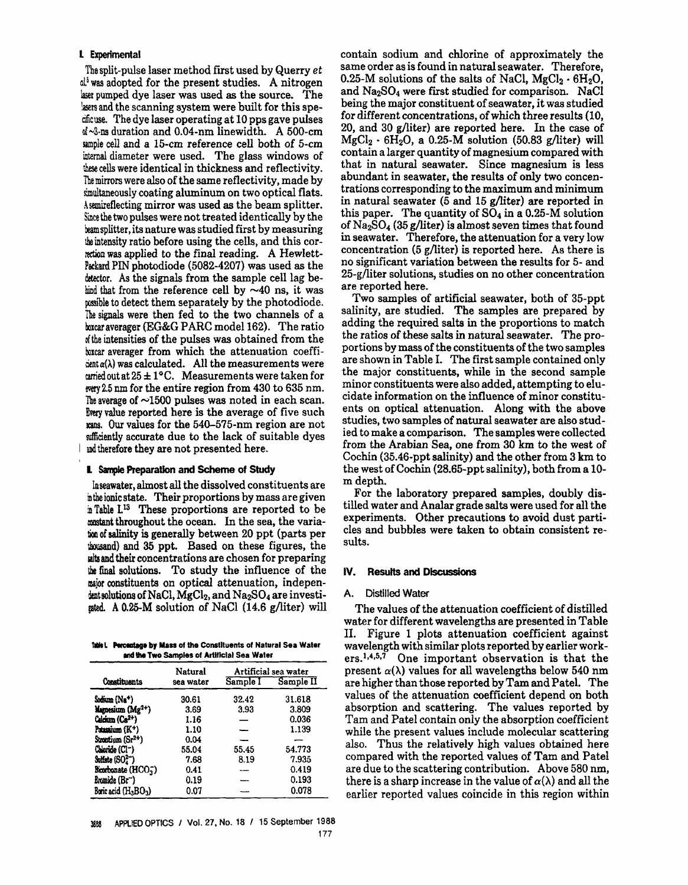# l Experimental

The split-pulse laser method first used by Querry *et*  $d<sup>i</sup>$  was adopted for the present studies. A nitrogen laser pumped dye laser was used as the source. The lasers and the scanning system were built for this specificuse. The dye laser operating at 10 pps gave pulses  $d \sim 3$ -ns duration and 0.04-nm linewidth. A 500-cm sample cell and a I5-cm reference cell both of 5-cm internal diameter were used. The glass windows of these cells were identical in thickness and reflectivity. The mirrors were also of the same reflectivity, made by simultaneously coating aluminum on two optical flats. Asemireflecting mirror was used as the beam splitter. Since the two pulses were not treated identically by the beamsplitter, its nature was studied first by measuring the intensity ratio before using the cells, and this cornction was applied to the final reading. A Hewlett-Packard PIN photodiode (5082-4207) was used as the detector. As the signals from the sample cell lag behind that from the reference cell by  $\sim$ 40 ns, it was possible to detect them separately by the photodiode. The signals were then fed to the two channels of a boxcar averager (EG&G PARC model 162). The ratio Mthe intensities of the pulses was obtained from the boxcar averager from which the attenuation coeffi- $\sin(\alpha(\lambda))$  was calculated. All the measurements were arried out at  $25 \pm 1$ °C. Measurements were taken for way 2.5 nm for the entire region from 430 to 635 nm. The average of  $~1500$  pulses was noted in each scan. Every value reported here is the average of five such mans. Our values for the 540-575-nm region are not sufficiently accurate due to the lack of suitable dyes and therefore they are not presented here.

# I. Sample Preparation and Scheme of Study

Inseawater, almost all the dissolved constituents are in the ionic state. Their proportions by mass are given in Table L<sup>13</sup> These proportions are reported to be most throughout the ocean. In the sea, the varia-Iioo of salinity is generally between 20 ppt (parts per lhousand) and 35 ppt. Based on these figures, the alts and their concentrations are chosen for preparing \he final solutions. To study the influence of the major constituents on optical attenuation, independentsolutions of NaCl,  $MgCl<sub>2</sub>$ , and Na<sub>2</sub>SO<sub>4</sub> are investigated. A O.25-M solution of NaCI (14.6 g/liter) will

**Talet.** Perceatage by Mass of the Constituents of Natural Sea Water and the Two Samples of Artificial Sea Water

|                                 | Natural   | Artificial sea water |           |  |  |
|---------------------------------|-----------|----------------------|-----------|--|--|
| Constituents                    | sea water | Sample I             | Sample II |  |  |
| Sodium (Na <sup>+</sup> )       | 30.61     | 32.42                | 31.618    |  |  |
| Manesium (Mg <sup>2+</sup> )    | 3.69      | 3.93                 | 3.809     |  |  |
| Calcium (Ca <sup>2+</sup> )     | 1.16      |                      | 0.036     |  |  |
| Potamium (K <sup>+</sup> )      | 1.10      |                      | 1.139     |  |  |
| Strontium (Sr2+)                | 0.04      |                      |           |  |  |
| Chloride (CI-)                  | 55.04     | 55.45                | 54.773    |  |  |
| Sulfate (SO2-)                  | 7.68      | 8.19                 | 7.935     |  |  |
| Bicorbonate (HCO <sub>7</sub> ) | 0.41      | للمند                | 0.419     |  |  |
| Bromide (Br <sup>--</sup> )     | 0.19      |                      | 0.193     |  |  |
| Borie acid (HABOA)              | 0.07      |                      | 0.078     |  |  |

contain sodium and chlorine of approximately the same order as is found in natural seawater. Therefore, 0.25-M solutions of the salts of NaCl,  $MgCl_2 \cdot 6H_2O$ , and  $Na<sub>2</sub>SO<sub>4</sub>$  were first studied for comparison. NaCl being the major constituent of seawater, it was studied for different concentrations, of which three results (10, 20, and 30 g/liter) are reported here. In the case of  $MgCl_2 \cdot 6H_2O$ , a 0.25-M solution (50.83 g/liter) will contain a larger quantity of magnesium compared with that in natural seawater. Since magnesium is less abundant in seawater, the results of only two concentrations corresponding to the maximum and minimum in natural seawater (5 and 15 g/liter) are reported in this paper. The quantity of  $SO_4$  in a 0.25-M solution of  $Na<sub>2</sub>SO<sub>4</sub>$  (35 g/liter) is almost seven times that found in seawater. Therefore, the attenuation for a very low concentration (5 g/liter) is reported here. As there is no significant variation between the results for 5- and 25-g/liter solutions, studies on no other concentration are reported here.

Two samples of artificial seawater, both of 35-ppt salinity, are studied. The samples are prepared by adding the required salts in the proportions to match the ratios of these salts in natural seawater. The proportions by mass of the constituents of the two samples are shown in Table 1. The first sample contained only the major constituents, while in the second sample minor constituents were also added, attempting to elucidate information on the influence of minor constituents on optical attenuation. Along with the above studies, two samples of natural seawater are also studied to make a comparison. The samples were collected from the Arabian Sea, one from 30 km to the west of Cochin (35.46-ppt salinity) and the other from 3 km to the west of Cochin (28.65-ppt salinity), both from a 10m depth.

For the laboratory prepared samples, doubly distilled water and Analar grade salts were used for all the experiments. Other precautions to avoid dust particles and bubbles were taken to obtain consistent results.

# IV. Results and Discussions

# A. Distilled Water

The values of the attenuation coefficient of distilled water for different wavelengths are presented in Table H. Figure 1 plots attenuation coefficient against wavelength with similar plots reported by earlier workers.<sup>1,4,5,7</sup> One important observation is that the present  $\alpha(\lambda)$  values for all wavelengths below 540 nm are higher than those reported by Tam and Patel. The values of the attenuation coefficient depend on both absorption and scattering. The values reported by Tam and Patel contain only the absorption coefficient while the present values include molecular scattering also. Thus the relatively high values obtained here compared with the reported values of Tam and Patel are due to the scattering contribution. Above 580 nm, there is a sharp increase in the value of  $\alpha(\lambda)$  and all the earlier reported values coincide in this region within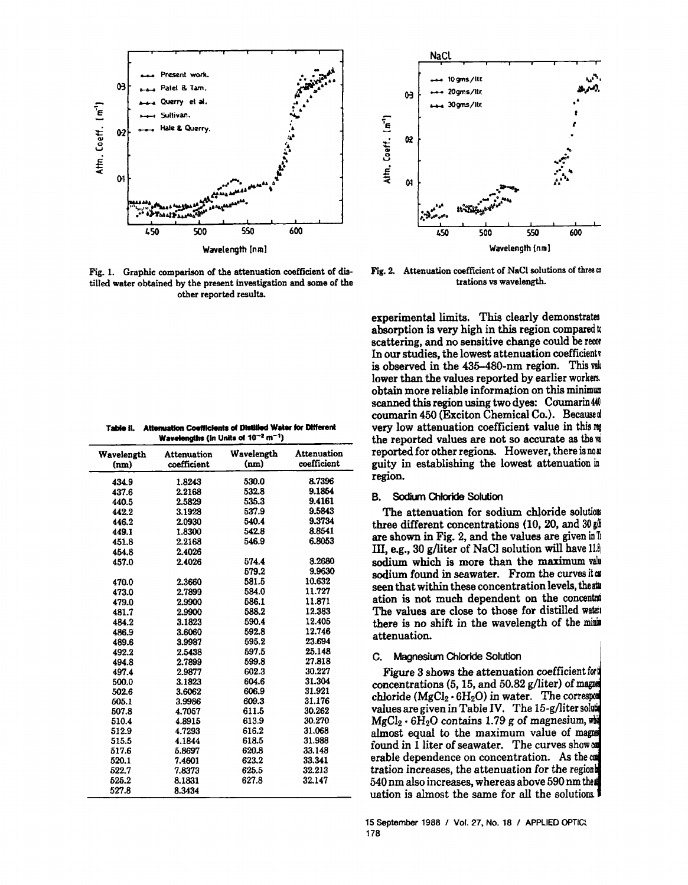

Fig. 1. Graphic comparison of the attenuation coefficient of distilled water obtained by the present investigation and some of the other reported results.

| Wavelengths (in Units of $10^{-2}$ m <sup>-1</sup> ) |                                   |                    |                            |  |  |  |
|------------------------------------------------------|-----------------------------------|--------------------|----------------------------|--|--|--|
| Wavelength<br>(nm)                                   | <b>Attenuation</b><br>coefficient | Wavelength<br>(nm) | Attenuation<br>coefficient |  |  |  |
| 434.9                                                | 1.8243                            | 530.0              | 8.7396                     |  |  |  |
| 437.6                                                | 2.2168                            | 532.8              | 9.1854                     |  |  |  |
| 440.5                                                | 2.5829                            | 535.3              | 9.4161                     |  |  |  |
| 442.2                                                | 3.1928                            | 537.9              | 9.5843                     |  |  |  |
| 446.2                                                | 2.0930                            | 540.4              | 9.3734                     |  |  |  |
| 449.1                                                | 1.8300                            | 542.8              | 8.8541                     |  |  |  |
| 451.8                                                | 2.2168                            | 546.9              | 6.8053                     |  |  |  |
| 454.8                                                | 2.4026                            |                    |                            |  |  |  |
| 457.0                                                | 2.4026                            | 574.4              | 8.2680                     |  |  |  |
|                                                      |                                   | 579.2              | 9.9630                     |  |  |  |
| 470.0                                                | 2.3660                            | 581.5              | 10.632                     |  |  |  |
| 473.0                                                | 2.7899                            | 584.0              | 11.727                     |  |  |  |
| 479.0                                                | 2.9900                            | 586.1              | 11.871                     |  |  |  |
| 481.7                                                | 2.9900                            | 588.2              | 12.383                     |  |  |  |
| 484.2                                                | 3.1823                            | 590.4              | 12.405                     |  |  |  |
| 486.9                                                | 3.6060                            | 592.8              | 12.746                     |  |  |  |
| 489.6                                                | 3.9987                            | 595.2              | 23.694                     |  |  |  |
| 492.2                                                | 2.5438                            | 597.5              | 25.148                     |  |  |  |
| 494.8                                                | 2.7899                            | 599.8              | 27.818                     |  |  |  |
| 497.4                                                | 2.9877                            | 602.3              | 30.227                     |  |  |  |
| 500.0                                                | 3.1823                            | 604.6              | 31.304                     |  |  |  |
| 502.6                                                | 3.6062                            | 606.9              | 31.921                     |  |  |  |
| 505.1                                                | 3.9986                            | 609.3              | 31.176                     |  |  |  |
| 507.8                                                | 4.7057                            | 611.5              | 30.262                     |  |  |  |
| 510.4                                                | 4.8915                            | 613.9              | 30.270                     |  |  |  |
| 512.9                                                | 4.7293                            | 616.2              | 31.068                     |  |  |  |
| 515.5                                                | 4.1844                            | 618.5              | 31.988                     |  |  |  |
| 517.6                                                | 5.8697                            | 620.8              | 33.148                     |  |  |  |
| 520.1                                                | 7.4601                            | 623.2              | 33.341                     |  |  |  |
| 522.7                                                | 7.8373                            | 625.5              | 32.213                     |  |  |  |
| 525.2                                                | 8.1831                            | 627.8              | 32.147                     |  |  |  |
| 527.8                                                | 8.3434                            |                    |                            |  |  |  |

| Table ii. Attenuation Coefficients of Distilled Water for Different |
|---------------------------------------------------------------------|
| Wavelengths (in Linits of $10^{-2}$ m <sup>-1</sup> )               |



Fig. 2. Attenuation coefficient of NaCl solutions of three  $\omega$ trations vs wavelength.

experimental limits. This clearly demonstrates absorption is very high in this region compared to scattering, and no sensitive change could be recon In our studies, the lowest attenuation coefficients is observed in the 435-480-nm region. This value lower than the values reported by earlier workers. obtain more reliable information on this minimum scanned this region using two dyes: Coumarin44 coumarin 450 (Exciton Chemical Co.). Becaused very low attenuation coefficient value in this reg the reported values are not so accurate as the w reported for other regions. However, there is now guity in establishing the lowest attenuation in region.

#### Sodium Chloride Solution **B.**

The attenuation for sodium chloride solutions three different concentrations (10, 20, and  $30 \text{ g/s}$ are shown in Fig. 2, and the values are given in  $\mathbb{I}$ III, e.g., 30 g/liter of NaCl solution will have  $11\%$ sodium which is more than the maximum value sodium found in seawater. From the curves it as seen that within these concentration levels, theat ation is not much dependent on the concentral The values are close to those for distilled water there is no shift in the wavelength of the mini attenuation.

# C. Magnesium Chloride Solution

Figure 3 shows the attenuation coefficient for concentrations (5, 15, and 50.82 g/liter) of magnet chloride  $(MgCl_2 \cdot 6H_2O)$  in water. The correspond values are given in Table IV. The 15-g/liter soluti  $MgCl<sub>2</sub> \cdot 6H<sub>2</sub>O$  contains 1.79 g of magnesium, when almost equal to the maximum value of magnet found in 1 liter of seawater. The curves show an erable dependence on concentration. As the com tration increases, the attenuation for the region 540 nm also increases, whereas above 590 nm these uation is almost the same for all the solutions.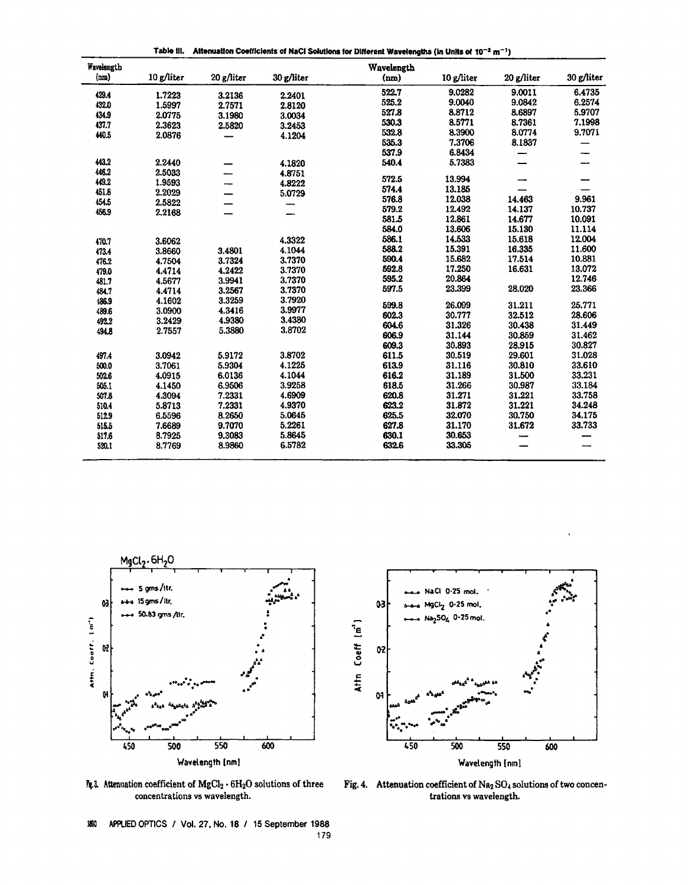Table II. Altenuation Coefficients of NaCI Solutions for Different Wavelengths (in Units of  $10^{-2}$  m<sup>-1</sup>)

| Wavelength |            |            |            | Wavelength |            |            |            |
|------------|------------|------------|------------|------------|------------|------------|------------|
| (m)        | 10 g/liter | 20 g/liter | 30 g/liter | (nm)       | 10 g/liter | 20 g/liter | 30 g/liter |
| 429.4      | 1.7223     | 3.2136     | 2.2401     | 522.7      | 9.0282     | 9.0011     | 6.4735     |
| 432.0      | 1.5997     | 2.7571     | 2.8120     | 525.2      | 9.0040     | 9.0842     | 6.2574     |
| 434.9      | 2.0775     | 3.1980     | 3.0034     | 527.8      | 8.8712     | 8.6897     | 5.9707     |
| 437.7      | 2.3623     | 2.5820     | 3.2453     | 530.3      | 8.5771     | 8.7361     | 7.1998     |
| 440.5      | 2.0876     |            | 4.1204     | 532.8      | 8.3900     | 8.0774     | 9.7071     |
|            |            |            |            | 535.3      | 7.3706     | 8.1837     |            |
|            |            |            |            | 537.9      | 6.8434     |            |            |
| 443.2      | 2.2440     |            | 4.1820     | 540.4      | 5.7383     |            |            |
| 446.2      | 2.5033     |            | 4.8751     |            |            |            |            |
| 449.2      | 1.9593     |            | 4.8222     | 572.5      | 13.994     |            |            |
| 451.8      | 2.2029     |            | 5.0729     | 574.4      | 13.185     |            |            |
| 454.5      | 2.5822     |            | -          | 576.8      | 12.038     | 14.463     | 9.961      |
| 456.9      | 2.2168     |            |            | 579.2      | 12.492     | 14.137     | 10.737     |
|            |            |            |            | 581.5      | 12.861     | 14.677     | 10.091     |
|            |            |            |            | 584.0      | 13.606     | 15.130     | 11.114     |
| 470.7      | 3.6062     |            | 4.3322     | 586.1      | 14.533     | 15.618     | 12.004     |
| 473.4      | 3.8660     | 3.4801     | 4.1044     | 588.2      | 15.391     | 16.335     | 11.600     |
| 476.2      | 4.7504     | 3.7324     | 3.7370     | 590.4      | 15.682     | 17.514     | 10.881     |
| 479.0      | 4.4714     | 4.2422     | 3.7370     | 592.8      | 17.250     | 16.631     | 13.072     |
| 481.7      | 4.5677     | 3.9941     | 3.7370     | 595.2      | 20.864     |            | 12.746     |
| 484.7      | 4.4714     | 3.2567     | 3.7370     | 597.5      | 23.399     | 28.020     | 23.366     |
| 186.9      | 4.1602     | 3.3259     | 3.7920     | 599.8      | 26.099     |            | 25.771     |
| 489.6      | 3.0900     | 4.3416     | 3.9977     |            |            | 31.211     |            |
| 492.2      | 3.2429     | 4.9380     | 3.4380     | 602.3      | 30.777     | 32.512     | 28.606     |
| 494.8      | 2.7557     | 5.3880     | 3.8702     | 604.6      | 31.326     | 30.438     | 31.449     |
|            |            |            |            | 606.9      | 31.144     | 30.859     | 31.462     |
|            |            |            |            | 609.3      | 30.893     | 28.915     | 30.827     |
| 497.4      | 3.0942     | 5.9172     | 3.8702     | 611.5      | 30.519     | 29.601     | 31.028     |
| 500.0      | 3.7061     | 5.9304     | 4.1225     | 613.9      | 31.116     | 30.810     | 33.610     |
| 502.6      | 4.0915     | 6.0136     | 4.1044     | 616.2      | 31.189     | 31.500     | 33.231     |
| 505.1      | 4.1450     | 6.9506     | 3.9258     | 618.5      | 31.266     | 30.987     | 33.184     |
| 507.8      | 4.3094     | 7.2331     | 4.6909     | 620.8      | 31.271     | 31.221     | 33.758     |
| 510.4      | 5.8713     | 7.2331     | 4.9370     | 623.2      | 31.872     | 31.221     | 34.248     |
| 512.9      | 6.5596     | 8.2650     | 5.0645     | 625.5      | 32.070     | 30.750     | 34.175     |
| 515.5      | 7.6689     | 9.7070     | 5.2261     | 627.8      | 31.170     | 31.672     | 33.733     |
| 517.6      | 8.7925     | 9.3083     | 5.8645     | 630.1      | 30.653     |            |            |
| 520.1      | 8.7769     | 8.9860     | 6.5782     | 632.6      | 33.305     |            |            |
|            |            |            |            |            |            |            |            |





 $\frac{3}{4}$ . Attenuation coefficient of MgCl<sub>2</sub> · 6H<sub>2</sub>O solutions of three concentrations vs wavelength.

Fig. 4. Attenuation coefficient of  $Na_2 SO_4$  solutions of two concentrations vs wavelength.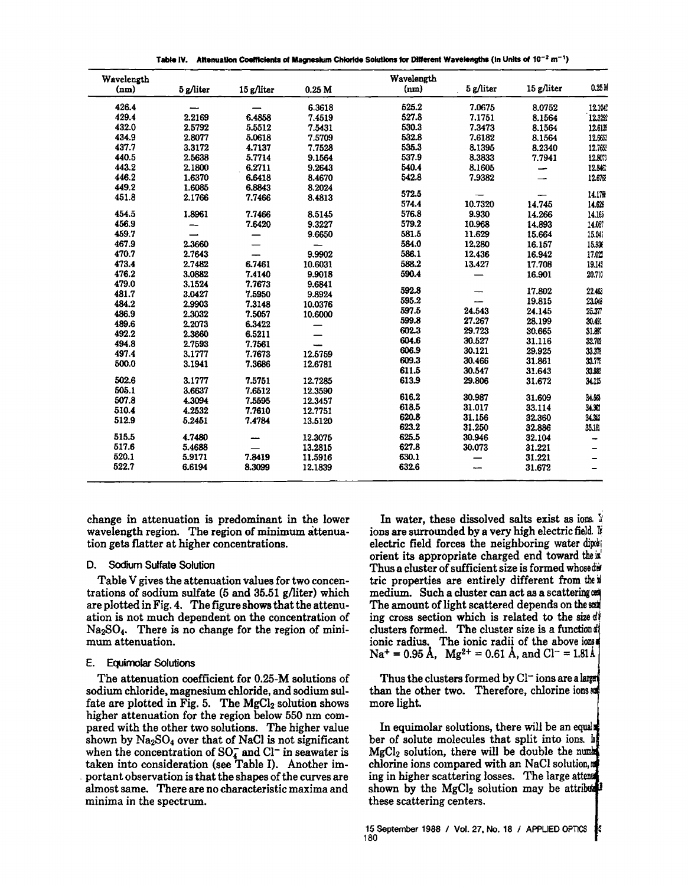Table IV. Altenuation Coefficients of Magnesium Chloride Solutions for Different Wavelengths (in Units of  $10^{-2}$  m<sup>-1</sup>)

| 0.25M   |            |           | Wavelength |                   |            |           | Wavelength |
|---------|------------|-----------|------------|-------------------|------------|-----------|------------|
|         | 15 g/liter | 5 g/liter | (nm)       | 0.25 <sub>M</sub> | 15 g/liter | 5 g/liter | (nm)       |
| 12.10C  | 8.0752     | 7.0675    | 525.2      | 6.3618            |            |           | 426.4      |
| 12.32%  | 8.1564     | 7.1751    | 527.8      | 7.4519            | 6.4858     | 2.2169    | 429.4      |
| 12.6139 | 8.1564     | 7.3473    | 530.3      | 7.5431            | 5.5512     | 2.5792    | 432.0      |
| 12.6653 | 8.1564     | 7.6182    | 532.8      | 7.5709            | 5.0618     | 2.8077    | 434.9      |
| 12.765  | 8.2340     | 8.1395    | 535.3      | 7.7528            | 4.7137     | 3.3172    | 437.7      |
| 12.803  | 7.7941     | 8.3833    | 537.9      | 9.1564            | 5.7714     | 2.5638    | 440.5      |
| 12.846  |            | 8.1605    | 540.4      | 9.2643            | 6.2711     | 2.1800    | 443.2      |
| 12.676  |            | 7.9382    | 542.8      | 8.4670            | 6.6418     | 1.6370    | 446.2      |
|         |            |           |            | 8.2024            | 6.8843     | 1.6085    | 449.2      |
| 14.170  |            |           | 572.5      | 8.4813            | 7.7466     | 2.1766    | 451.8      |
| 14.626  | 14.745     | 10.7320   | 574.4      |                   |            |           |            |
| 14.165  | 14.266     | 9.930     | 576.8      | 8.5145            | 7.7466     | 1.8961    | 454.5      |
| 14.05?  | 14.893     | 10.968    | 579.2      | 9.3227            | 7.6420     | -         | 456.9      |
| 15.04   | 15.664     | 11.629    | 581.5      | 9.6650            |            |           | 459.7      |
| 15.336  | 16.157     | 12.280    | 584.0      |                   |            | 2.3660    | 467.9      |
| 17.027  | 16.942     | 12.436    | 586.1      | 9.9902            |            | 2.7643    | 470.7      |
| 19.142  | 17.708     | 13.427    | 588.2      | 10.6031           | 6.7461     | 2.7482    | 473.4      |
| 20.710  | 16.901     |           | 590.4      | 9.9018            | 7.4140     | 3.0882    | 476.2      |
|         |            |           |            | 9.6841            | 7.7673     | 3.1524    | 479.0      |
| 22,463  | 17.802     |           | 592.8      | 9.8924            | 7.5950     | 3.0427    | 481.7      |
| 23.043  | 19.815     |           | 595.2      | 10.0376           | 7.3148     | 2.9903    | 484.2      |
| 25.377  | 24.145     | 24.543    | 597.5      | 10.6000           | 7.5057     | 2.3032    | 486.9      |
| 30.491  | 28.199     | 27.267    | 599.8      |                   | 6.3422     | 2.2073    | 489.6      |
| 31.897  | 30.665     | 29.723    | 602.3      |                   | 6.5211     | 2.3660    | 492.2      |
| 32.703  | 31.116     | 30.527    | 604.6      |                   | 7.7561     | 2.7593    | 494.8      |
| 33.31   | 29.925     | 30.121    | 606.9      | 12.5759           | 7.7673     | 3.1777    | 497.4      |
| 33.7%   | 31.861     | 30.466    | 609.3      | 12.6781           | 7.3686     | 3.1941    | 500.0      |
| 33.922  | 31.643     | 30.547    | 611.5      |                   |            |           |            |
| 34.1%   | 31.672     | 29.806    | 613.9      | 12.7285           | 7.5751     | 3.1777    | 502.6      |
|         |            |           |            | 12.3590           | 7.6512     | 3.6637    | 505.1      |
| 34.55   | 31.609     | 30.987    | 616.2      | 12.3457           | 7.5595     | 4.3094    | 507.8      |
| 34.32   | 33.114     | 31.017    | 618.5      | 12.7751           | 7.7610     | 4.2532    | 510.4      |
| 34.35   | 32.360     | 31.156    | 620.8      | 13.5120           | 7.4784     | 5.2451    | 512.9      |
| 35.181  | 32.886     | 31.250    | 623.2      |                   |            |           |            |
| -       | 32.104     | 30.946    | 625.5      | 12.3075           |            | 4.7480    | 515.5      |
| ▃       | 31.221     | 30.073    | 627.8      | 13.2815           |            | 5.4688    | 517.6      |
|         | 31.221     | -         | 630.1      | 11.5916           | 7.8419     | 5.9171    | 520.1      |
|         | 31.672     |           | 632.6      | 12.1839           | 8.3099     | 6.6194    | 522.7      |

change in attenuation is predominant in the lower wavelength region. The region of minimum attenuation gets flatter at higher concentrations.

# D. Sodium Sulfate Solution

Table V gives the attenuation values for two concentrations of sodium sulfate (5 and 35.51 g/liter) which are plotted in Fig. 4. The figure shows that the attenuation is not much dependent on the concentration of Na2S04. There is no change for the region of minimum attenuation.

# E. Equimolar Solutions

The attenuation coefficient for 0.25-M solutions of sodium chloride, magnesium chloride, and sodium sulfate are plotted in Fig. 5. The  $MgCl<sub>2</sub>$  solution shows higher attenuation for the region below 550 nm compared with the other two solutions. The higher value shown by  $Na<sub>2</sub>SO<sub>4</sub>$  over that of NaCl is not significant when the concentration of  $SO_4^-$  and  $Cl^-$  in seawater is taken into consideration (see Table I). Another im- . portant observation is that the shapes of the curves are almost same. There are no characteristic maxima and minima in the spectrum.

In water, these dissolved salts exist as ions. If ions are surrounded by a very high electric field. If electric field forces the neighboring water dip: orient its appropriate charged end toward the is' Thus a cluster of sufficient size is formed whose did tric properties are entirely different from the if medium. Such a cluster can act as a scattering The amount of light scattered depends on the sext ing cross section which is related to the size  $d\ell$ clusters formed. The cluster size is a function ionic radius. The ionic radii of the above ions  $Na^+ = 0.95$  Å,  $Mg^{2+} = 0.61$  Å, and  $Cl^- = 1.81$ Å

Thus the clusters formed by  $Cl^-$  ions are a large than the other two. Therefore, chlorine ions and more light.

In equimolar solutions, there will be an equal ber of solute molecules that split into ions. h  $MgCl<sub>2</sub>$  solution, there will be double the number chlorine ions compared with an NaCI solution, ing in higher scattering losses. The large att shown by the  $MgCl<sub>2</sub>$  solution may be attributed these scattering centers.

15 September 1988 / Vol. 27, No. 18 / APPLIED OPTICS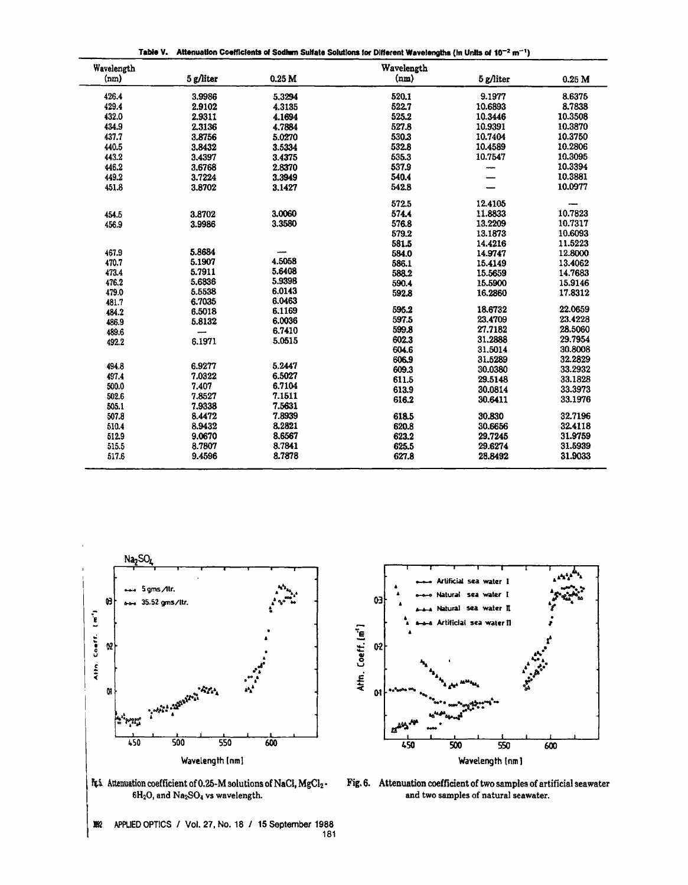Table V. Attenuation Coefficients of Sodhern Sulfate Solutions for Different Wavelengths (in Units of  $10^{-2}$  m<sup>-1</sup>)

| Wavelength |             |                   | Wavelength |           |          |
|------------|-------------|-------------------|------------|-----------|----------|
| (nm)       | $5$ g/liter | 0.25 <sub>M</sub> | (nm)       | 5 g/liter | $0.25$ M |
| 426.4      | 3.9986      | 5.3294            | 520.1      | 9.1977    | 8.6375   |
| 429.4      | 2.9102      | 4.3135            | 522.7      | 10.6893   | 8.7838   |
| 432.0      | 2.9311      | 4.1694            | 525.2      | 10.3446   | 10.3508  |
| 434.9      | 2.3136      | 4.7884            | 527.8      | 10.9391   | 10.3870  |
| 437.7      | 3.8756      | 5.0270            | 530.3      | 10.7404   | 10.3750  |
| 440.5      | 3.8432      | 3.5334            | 532.8      | 10.4589   | 10.2806  |
| 443.2      | 3.4397      | 3.4375            | 535.3      | 10.7547   | 10.3095  |
| 446.2      | 3.6768      | 2.8370            | 537.9      |           | 10.3394  |
| 449.2      | 3.7224      | 3.3949            | 540.4      |           | 10.3881  |
| 451.8      | 3.8702      | 3.1427            | 542.8      |           | 10.0977  |
|            |             |                   | 572.5      | 12.4105   |          |
| 454.5      | 3.8702      | 3.0060            | 574.4      | 11.8833   | 10.7823  |
| 456.9      | 3.9986      | 3.3580            | 576.8      | 13.2209   | 10.7317  |
|            |             |                   | 579.2      | 13.1873   | 10.6093  |
|            |             |                   | 581.5      | 14.4216   | 11.5223  |
| 467.9      | 5.8684      |                   | 584.0      | 14.9747   | 12.8000  |
| 470.7      | 5.1907      | 4.5058            | 586.1      | 15.4149   | 13.4062  |
| 473.4      | 5.7911      | 5.6408            | 588.2      | 15.5659   | 14.7683  |
| 476.2      | 5.6836      | 5.9398            | 590.4      | 15.5900   | 15.9146  |
| 479.0      | 5.5538      | 6.0143            | 592.8      | 16.2860   | 17.8312  |
| 481.7      | 6.7035      | 6.0463            |            |           | 22.0659  |
| 484.2      | 6.5018      | 6.1169            | 595.2      | 18.6732   | 23.4228  |
| 486.9      | 5.8132      | 6.0036            | 597.5      | 23.4709   |          |
| 489.6      | --          | 6.7410            | 599.8      | 27.7182   | 28.5060  |
| 492.2      | 6.1971      | 5.0515            | 602.3      | 31.2888   | 29.7954  |
|            |             |                   | 604.6      | 31.5014   | 30.8008  |
| 494.8      | 6.9277      | 5.2447            | 606.9      | 31.5289   | 32.2829  |
| 497.4      | 7.0322      | 6.5027            | 609.3      | 30.0380   | 33.2932  |
| 500.0      | 7.407       | 6.7104            | 611.5      | 29.5148   | 33.1828  |
| 502.6      | 7.8527      | 7.1511            | 613.9      | 30.0814   | 33.3973  |
| 505.1      | 7.9338      | 7.5631            | 616.2      | 30.6411   | 33.1976  |
| 507.8      | 8.4472      | 7.8939            | 618.5      | 30.830    | 32.7196  |
| 510.4      | 8.9432      | 8.2821            | 620.8      | 30.6656   | 32.4118  |
| 512.9      | 9.0670      | 8.6567            | 623.2      | 29.7245   | 31.9759  |
| 515.5      | 8.7807      | 8.7841            | 625.5      | 29.6274   | 31.5939  |
| 517.6      | 9.4596      | 8.7878            | 627.8      | 28.8492   | 31.9033  |
|            |             |                   |            |           |          |





It's Attenuation coefficient of 0.25-M solutions of NaCl, MgCl<sub>2</sub>.  $6H_2O$ , and  $Na_2SO_4$  vs wavelength.

Fig. 6. Attenuation coefficient of two samples of artificial seawater and two samples of natural seawater.

APPLIED OPTICS / Vol. 27, No. 18 / 15 September 1988 激 181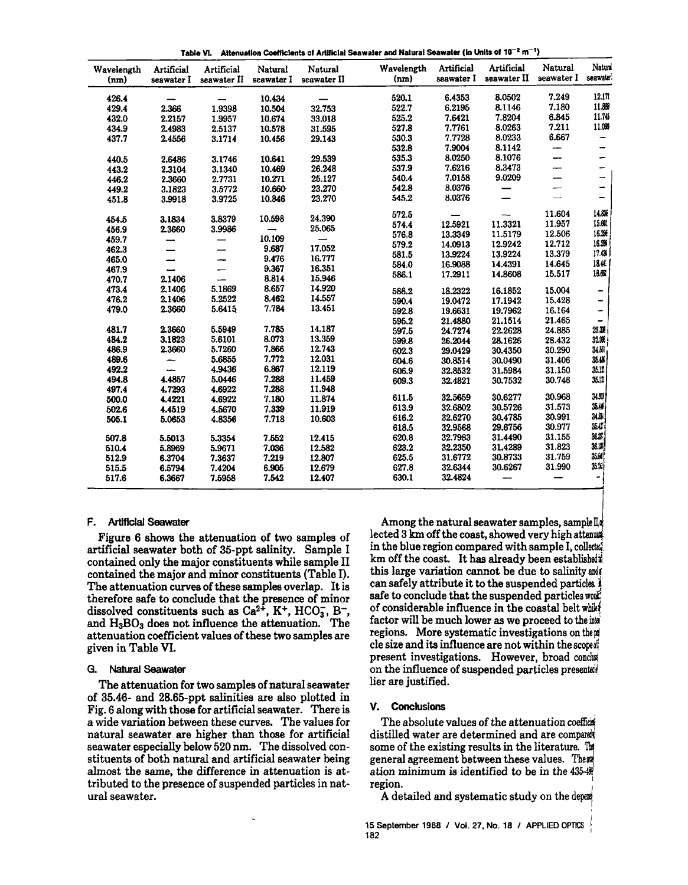| Table VL Altenuation Coefficients of Artificial Seawater and Natural Seawater (in Units of $10^{-2}$ m <sup>-1</sup> ) |  |
|------------------------------------------------------------------------------------------------------------------------|--|
|------------------------------------------------------------------------------------------------------------------------|--|

| Wavelength<br>(nm) | Artificial<br>seawater I | Artificial<br>seawater II | Natural<br>seawater I | Natural<br>seawater II | Wavelength<br>(nm) | Artificial<br>seawater I | Artificial<br>seawater II | Natural<br>seawater I    | Natura<br>seawate        |
|--------------------|--------------------------|---------------------------|-----------------------|------------------------|--------------------|--------------------------|---------------------------|--------------------------|--------------------------|
|                    |                          |                           |                       |                        |                    |                          |                           |                          |                          |
| 426.4              | -                        |                           | 10.434                |                        | 520.1              | 6.4353                   | 8.0502                    | 7.249                    | 12.17                    |
| 429.4              | 2.366                    | 1.9398                    | 10.504                | 32.753                 | 522.7              | 6.2195                   | 8.1146                    | 7.180                    | 11.889                   |
| 432.0              | 2.2157                   | 1.9957                    | 10.674                | 33.018                 | 525.2              | 7.6421                   | 7.8204                    | 6.845                    | 11.745                   |
| 434.9              | 2.4983                   | 2.5137                    | 10.578                | 31.595                 | 527.8              | 7.7761                   | 8.0263                    | 7.211                    | 11.099                   |
| 437.7              | 2.4556                   | 3.1714                    | 10.456                | 29.143                 | 530.3              | 7.7728                   | 8.0233                    | 6.667                    | -                        |
|                    |                          |                           |                       |                        | 532.8              | 7.9004                   | 8.1142                    | --                       | -                        |
| 440.5              | 2.6486                   | 3.1746                    | 10.641                | 29.539                 | 535.3              | 8.0250                   | 8.1076                    | —                        | -                        |
| 443.2              | 2.3104                   | 3.1340                    | 10.469                | 26.248                 | 537.9              | 7.6216                   | 8.3473                    | -                        | -                        |
| 446.2              | 2.3660                   | 2.7731                    | 10.271                | 25.127                 | 540.4              | 7.0158                   | 9.0209                    | —                        | -                        |
| 449.2              | 3.1823                   | 3.5772                    | 10.660                | 23.270                 | 542.8              | 8.0376                   | —                         | $\overline{\phantom{0}}$ | -                        |
| 451.8              | 3.9918                   | 3.9725                    | 10.846                | 23.270                 | 545.2              | 8.0376                   |                           |                          | -                        |
|                    |                          |                           |                       |                        |                    |                          |                           |                          | 14.8%                    |
| 454.5              | 3.1834                   | 3.8379                    | 10.598                | 24.390                 | 572.5              |                          |                           | 11.604                   |                          |
| 456.9              | 2.3660                   | 3.9986                    |                       | 25.065                 | 574.4              | 12.5921                  | 11.3321                   | 11.957                   | 15.60                    |
| 459.7              | —                        |                           | 10.109                |                        | 576.8              | 13.3349                  | 11.5179                   | 12.506                   | 16.2%                    |
| 462.3              |                          |                           | 9.687                 | 17.052                 | 579.2              | 14.0913                  | 12.9242                   | 12.712                   | 16.2%<br>17.43           |
| 465.0              |                          |                           | 9.476                 | 16.777                 | 581.5              | 13.9224                  | 13.9224                   | 13.379                   |                          |
| 467.9              |                          |                           | 9.367                 | 16.351                 | 584.0              | 16.9088                  | 14.4391                   | 14.645                   | 1840                     |
| 470.7              | 2.1406                   | $\overline{\phantom{0}}$  | 8.814                 | 15.946                 | 586.1              | 17.2911                  | 14.8608                   | 15.517                   | 18.65                    |
| 473.4              | 2.1406                   | 5.1869                    | 8.657                 | 14.920                 | 588.2              | 18.2322                  | 16.1852                   | 15.004                   | $\overline{\phantom{0}}$ |
| 476.2              | 2.1406                   | 5.2522                    | 8.462                 | 14.557                 | 590.4              | 19.0472                  | 17.1942                   | 15.428                   | $\overline{a}$           |
| 479.0              | 2.3660                   | 5.6415                    | 7.784                 | 13.451                 | 592.8              | 19.6631                  | 19.7962                   | 16.164                   | $\overline{\phantom{0}}$ |
|                    |                          |                           |                       |                        | 595.2              | 21.4880                  | 21.1514                   | 21.465                   | -                        |
| 481.7              | 2.3660                   | 5.5949                    | 7.785                 | 14.187                 | 597.5              | 24.7274                  | 22.2628                   | 24.885                   | 29.3%                    |
| 484.2              | 3.1823                   | 5.6101                    | 8.073                 | 13.359                 | 599.8              | 26.2044                  | 28.1626                   | 28.432                   | 32.05                    |
| 486.9              | 2.3660                   | 5.7260                    | 7.866                 | 12.743                 | 602.3              | 29.0429                  | 30.4350                   | 30.290                   | 34.50                    |
| 489.6              | -                        | 5.6855                    | 7.772                 | 12.031                 | 604.6              | 30.8514                  | 30.0490                   | 31.406                   | 35.4%                    |
| 492.2              |                          | 4.9436                    | 6.867                 | 12.119                 | 606.9              | 32.8532                  | 31.5984                   | 31.150                   | 35.12                    |
| 494.8              | 4.4857                   | 5.0446                    | 7.288                 | 11.459                 | 609.3              | 32.4821                  | 30.7532                   | 30.746                   | 35.12                    |
| 497.4              | 4.7293                   | 4.6922                    | 7.288                 | 11.948                 |                    |                          |                           |                          |                          |
| 500.0              | 4.4221                   | 4.6922                    | 7.180                 | 11.874                 | 611.5              | 32.5659                  | 30.6277                   | 30.968                   | 34.93                    |
| 502.6              | 4.4519                   | 4.5670                    | 7.339                 | 11.919                 | 613.9              | 32.6802                  | 30.5726                   | 31.573                   | 35.46                    |
| 505.1              | 5.0653                   | 4.8356                    | 7.718                 | 10.603                 | 616.2              | 32.6270                  | 30.4785                   | 30.991                   | 34.8%                    |
|                    |                          |                           |                       |                        | 618.5              | 32.9568                  | 29.6756                   | 30.977                   | 35.47                    |
| 507.8              | 5.5013                   | 5.3354                    | 7.552                 | 12.415                 | 620.8              | 32.7983                  | 31.4490                   | 31.155                   | 36.3%                    |
| 510.4              | 5.8969                   | 5.9671                    | 7.036                 | 12.582                 | 623.2              | 32.2350                  | 31.4289                   | 31.823                   | 36.12                    |
| 512.9              | 6.3704                   | 7.3637                    | 7.219                 | 12.807                 | 625.5              | 31.6772                  | 30.8733                   | 31.759                   | 35.GF                    |
| 515.5              | 6.5794                   | 7.4204                    | 6,905                 | 12.679                 | 627.8              | 32.6344                  | 30.6267                   | 31.990                   | 35.54                    |
| 517.6              | 6.3667                   | 7.5958                    | 7.542                 | 12.407                 | 630.1              | 32.4824                  | $\overline{\phantom{0}}$  |                          | $\overline{\phantom{0}}$ |

#### F. Artiflclal Seawater

Figure 6 shows the attenuation of two samples of artificial seawater both of 35-ppt salinity. Sample I contained only the major constituents while sample II contained the major and minor constituents (Table I). The attenuation curves of these samples overlap. It is therefore safe to conclude that the presence of minor dissolved constituents such as  $Ca^{2+}$ , K<sup>+</sup>, HCO<sub>3</sub>, B<sup>-</sup>, and  $H_3BO_3$  does not influence the attenuation. The attenuation coefficient values of these two samples are given in Table VI.

# G. Natural Seawater

The attenuation for two samples of natural seawater of 35.46- and 28.65-ppt salinities are also plotted in Fig. 6 along with those for artificial seawater. There is a wide variation between these curves. The values for natural seawater are higher than those for artificial seawater especially below 520 nm. The dissolved constituents of both natural and artificial seawater being almost the same, the difference in attenuation is attributed to the presence of suspended particles in natural seawater.

ı.

Among the natural seawater samples, samplella lected  $3 \text{ km of } t$  he coast, showed very high attenuation in the blue region compared with sample I, collects km off the coast. It has already been established $*$ this large variation cannot be due to salinity and can safely attribute it to the suspended particles. safe to conclude that the suspended particles work of considerable influence in the coastal belt while factor will be much lower as we proceed to the inti regions. More systematic investigations on them cle size and its influence are not within the scoped present investigations. However, broad conclus on the influence of suspended particles presented lier are justified.

#### V. Conclusions

The absolute values of the attenuation coefficial distilled water are determined and are compared some of the existing results in the literature.  $\mathbb{T}$ general agreement between these values. The ation minimum is identified to be in the  $435 - 48$ region.

A detailed and systematic study on the depert-

,

15 September 1988 / Vol. 27, No. 18 / APPLIED OPTICS  $182$